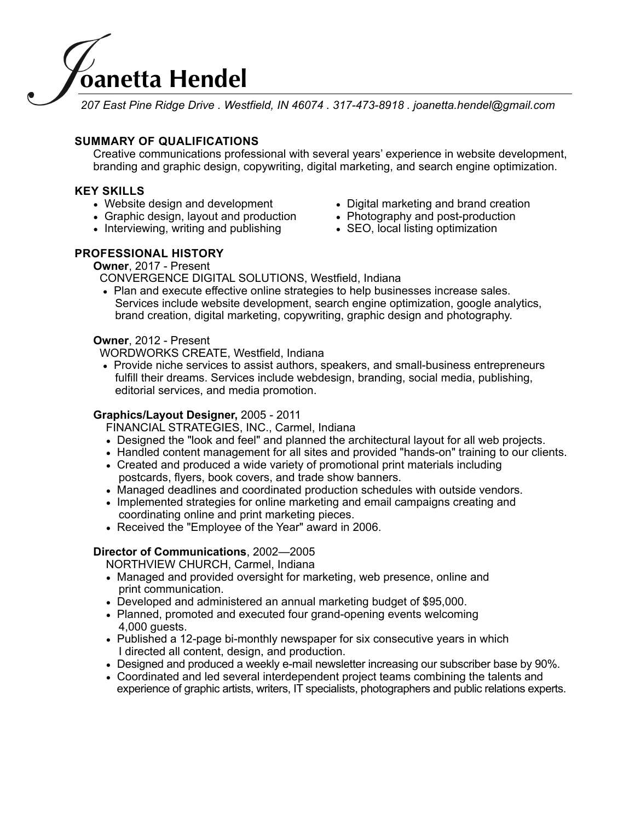

*207 East Pine Ridge Drive . Westfield, IN 46074 . 317-473-8918 . joanetta.hendel@gmail.com* 

# **SUMMARY OF QUALIFICATIONS**

Creative communications professional with several years' experience in website development, branding and graphic design, copywriting, digital marketing, and search engine optimization.

### **KEY SKILLS**

- 
- Graphic design, layout and production Photography and post-production
- Interviewing, writing and publishing • SEO, local listing optimization
- Website design and development Digital marketing and brand creation
	-
	-

## **PROFESSIONAL HISTORY**

**Owner**, 2017 - Present

CONVERGENCE DIGITAL SOLUTIONS, Westfield, Indiana

• Plan and execute effective online strategies to help businesses increase sales. Services include website development, search engine optimization, google analytics, brand creation, digital marketing, copywriting, graphic design and photography.

#### **Owner**, 2012 - Present

WORDWORKS CREATE, Westfield, Indiana

• Provide niche services to assist authors, speakers, and small-business entrepreneurs fulfill their dreams. Services include webdesign, branding, social media, publishing, editorial services, and media promotion.

#### **Graphics/Layout Designer,** 2005 - 2011

FINANCIAL STRATEGIES, INC., Carmel, Indiana

- Designed the "look and feel" and planned the architectural layout for all web projects.
- Handled content management for all sites and provided "hands-on" training to our clients.
- Created and produced a wide variety of promotional print materials including postcards, flyers, book covers, and trade show banners.
- Managed deadlines and coordinated production schedules with outside vendors.
- Implemented strategies for online marketing and email campaigns creating and coordinating online and print marketing pieces.
- Received the "Employee of the Year" award in 2006.

#### **Director of Communications**, 2002—2005

NORTHVIEW CHURCH, Carmel, Indiana

- Managed and provided oversight for marketing, web presence, online and print communication.
- Developed and administered an annual marketing budget of \$95,000.
- Planned, promoted and executed four grand-opening events welcoming 4,000 guests.
- Published a 12-page bi-monthly newspaper for six consecutive years in which I directed all content, design, and production.
- Designed and produced a weekly e-mail newsletter increasing our subscriber base by 90%.
- Coordinated and led several interdependent project teams combining the talents and experience of graphic artists, writers, IT specialists, photographers and public relations experts.